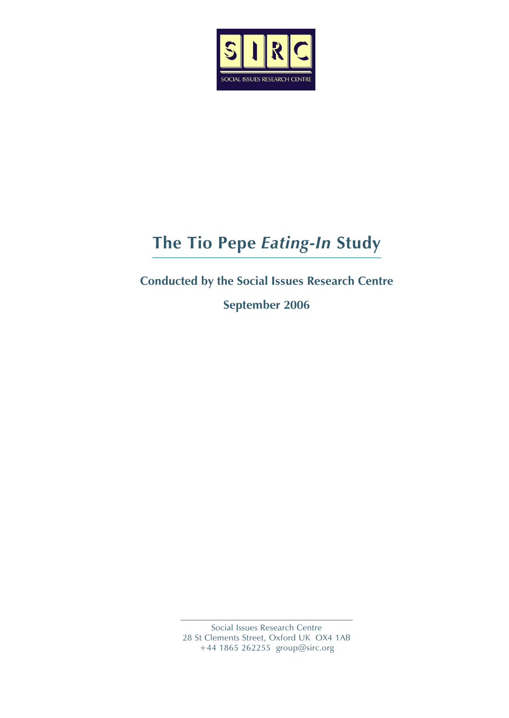

# **The Tio Pepe** *Eating-In* **Study**

## **Conducted by the Social Issues Research Centre**

**September 2006**

 Social Issues Research Centre 28 St Clements Street, Oxford UK OX4 1AB +44 1865 262255 group@sirc.org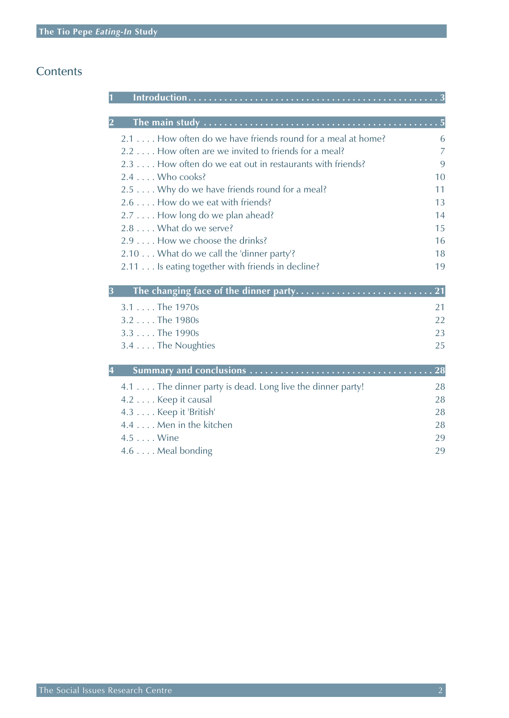### **Contents**

| 2.1 How often do we have friends round for a meal at home? | 6              |
|------------------------------------------------------------|----------------|
| 2.2 How often are we invited to friends for a meal?        | $\overline{7}$ |
| 2.3 How often do we eat out in restaurants with friends?   | 9              |
| $2.4$ Who cooks?                                           | 10             |
| 2.5 Why do we have friends round for a meal?               | 11             |
| 2.6 How do we eat with friends?                            | 13             |
| 2.7 How long do we plan ahead?                             | 14             |
| 2.8 What do we serve?                                      | 15             |
| 2.9 How we choose the drinks?                              | 16             |
| 2.10 What do we call the 'dinner party'?                   | 18             |
| 2.11 Is eating together with friends in decline?           | 19             |
| 3                                                          |                |
| 3.1 The 1970s                                              | 21             |
| 3.2 The 1980s                                              | 22             |
| 3.3 The 1990s                                              | 23             |
| 3.4 The Noughties                                          | 25             |
| 4                                                          |                |
| 4.1 The dinner party is dead. Long live the dinner party!  | 28             |
| 4.2 Keep it causal                                         | 28             |
| 4.3 Keep it 'British'                                      | 28             |
| 4.4 Men in the kitchen                                     | 28             |
| 4.5 Wine                                                   | 29             |
| 4.6 Meal bonding                                           | 29             |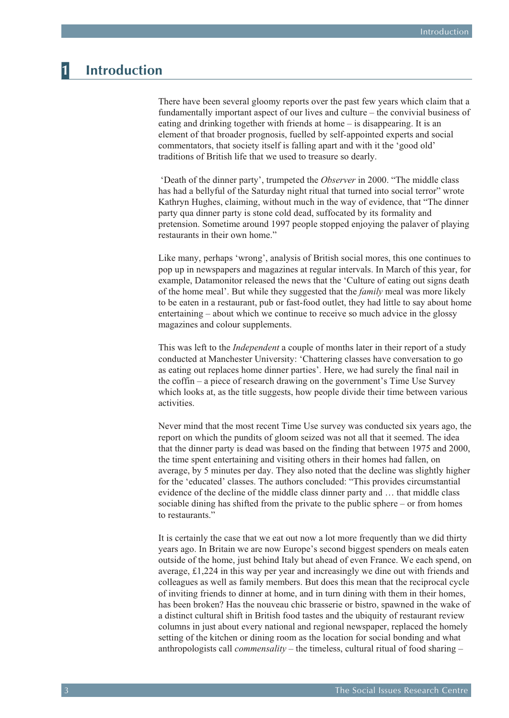## <span id="page-2-0"></span>**1 Introduction**

There have been several gloomy reports over the past few years which claim that a fundamentally important aspect of our lives and culture – the convivial business of eating and drinking together with friends at home – is disappearing. It is an element of that broader prognosis, fuelled by self-appointed experts and social commentators, that society itself is falling apart and with it the 'good old' traditions of British life that we used to treasure so dearly.

 'Death of the dinner party', trumpeted the *Observer* in 2000. "The middle class has had a bellyful of the Saturday night ritual that turned into social terror" wrote Kathryn Hughes, claiming, without much in the way of evidence, that "The dinner party qua dinner party is stone cold dead, suffocated by its formality and pretension. Sometime around 1997 people stopped enjoying the palaver of playing restaurants in their own home."

Like many, perhaps 'wrong', analysis of British social mores, this one continues to pop up in newspapers and magazines at regular intervals. In March of this year, for example, Datamonitor released the news that the 'Culture of eating out signs death of the home meal'. But while they suggested that the *family* meal was more likely to be eaten in a restaurant, pub or fast-food outlet, they had little to say about home entertaining – about which we continue to receive so much advice in the glossy magazines and colour supplements.

This was left to the *Independent* a couple of months later in their report of a study conducted at Manchester University: 'Chattering classes have conversation to go as eating out replaces home dinner parties'. Here, we had surely the final nail in the coffin – a piece of research drawing on the government's Time Use Survey which looks at, as the title suggests, how people divide their time between various activities.

Never mind that the most recent Time Use survey was conducted six years ago, the report on which the pundits of gloom seized was not all that it seemed. The idea that the dinner party is dead was based on the finding that between 1975 and 2000, the time spent entertaining and visiting others in their homes had fallen, on average, by 5 minutes per day. They also noted that the decline was slightly higher for the 'educated' classes. The authors concluded: "This provides circumstantial evidence of the decline of the middle class dinner party and … that middle class sociable dining has shifted from the private to the public sphere – or from homes to restaurants."

It is certainly the case that we eat out now a lot more frequently than we did thirty years ago. In Britain we are now Europe's second biggest spenders on meals eaten outside of the home, just behind Italy but ahead of even France. We each spend, on average, £1,224 in this way per year and increasingly we dine out with friends and colleagues as well as family members. But does this mean that the reciprocal cycle of inviting friends to dinner at home, and in turn dining with them in their homes, has been broken? Has the nouveau chic brasserie or bistro, spawned in the wake of a distinct cultural shift in British food tastes and the ubiquity of restaurant review columns in just about every national and regional newspaper, replaced the homely setting of the kitchen or dining room as the location for social bonding and what anthropologists call *commensality* – the timeless, cultural ritual of food sharing –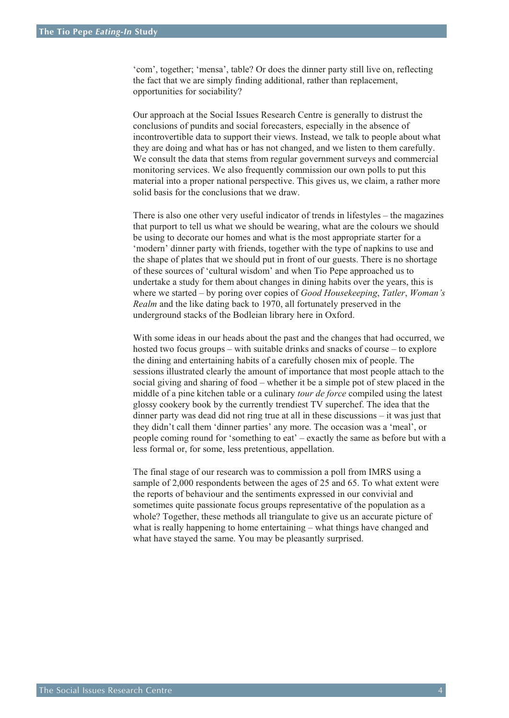'com', together; 'mensa', table? Or does the dinner party still live on, reflecting the fact that we are simply finding additional, rather than replacement, opportunities for sociability?

Our approach at the Social Issues Research Centre is generally to distrust the conclusions of pundits and social forecasters, especially in the absence of incontrovertible data to support their views. Instead, we talk to people about what they are doing and what has or has not changed, and we listen to them carefully. We consult the data that stems from regular government surveys and commercial monitoring services. We also frequently commission our own polls to put this material into a proper national perspective. This gives us, we claim, a rather more solid basis for the conclusions that we draw.

There is also one other very useful indicator of trends in lifestyles – the magazines that purport to tell us what we should be wearing, what are the colours we should be using to decorate our homes and what is the most appropriate starter for a 'modern' dinner party with friends, together with the type of napkins to use and the shape of plates that we should put in front of our guests. There is no shortage of these sources of 'cultural wisdom' and when Tio Pepe approached us to undertake a study for them about changes in dining habits over the years, this is where we started – by poring over copies of *Good Housekeeping*, *Tatler*, *Woman's Realm* and the like dating back to 1970, all fortunately preserved in the underground stacks of the Bodleian library here in Oxford.

With some ideas in our heads about the past and the changes that had occurred, we hosted two focus groups – with suitable drinks and snacks of course – to explore the dining and entertaining habits of a carefully chosen mix of people. The sessions illustrated clearly the amount of importance that most people attach to the social giving and sharing of food – whether it be a simple pot of stew placed in the middle of a pine kitchen table or a culinary *tour de force* compiled using the latest glossy cookery book by the currently trendiest TV superchef. The idea that the dinner party was dead did not ring true at all in these discussions – it was just that they didn't call them 'dinner parties' any more. The occasion was a 'meal', or people coming round for 'something to eat' – exactly the same as before but with a less formal or, for some, less pretentious, appellation.

The final stage of our research was to commission a poll from IMRS using a sample of 2,000 respondents between the ages of 25 and 65. To what extent were the reports of behaviour and the sentiments expressed in our convivial and sometimes quite passionate focus groups representative of the population as a whole? Together, these methods all triangulate to give us an accurate picture of what is really happening to home entertaining – what things have changed and what have stayed the same. You may be pleasantly surprised.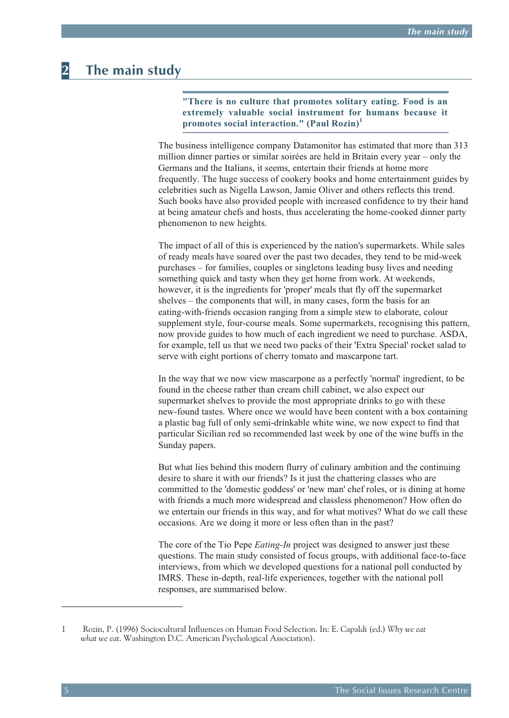## <span id="page-4-0"></span>**2 The main study**

"There is no culture that promotes solitary eating. Food is an **ex tremely valu able so cial in stru ment for hu mans be cause it pro motes so cial interaction." (Paul Rozin) 1**

The business intelligence company Datamonitor has estimated that more than 313 million dinner parties or similar soirées are held in Britain every year – only the Germans and the Italians, it seems, entertain their friends at home more frequently. The huge success of cookery books and home entertainment guides by celebrities such as Nigella Lawson, Jamie Oliver and others reflects this trend. Such books have also provided people with increased confidence to try their hand at being amateur chefs and hosts, thus accelerating the home-cooked dinner party phenomenon to new heights.

The impact of all of this is experienced by the nation's supermarkets. While sales of ready meals have soared over the past two decades, they tend to be mid-week purchases – for families, couples or singletons leading busy lives and needing something quick and tasty when they get home from work. At weekends, however, it is the ingredients for 'proper' meals that fly off the supermarket shelves – the components that will, in many cases, form the basis for an eating-with-friends occasion ranging from a simple stew to elaborate, colour supplement style, four-course meals. Some supermarkets, recognising this pattern, now provide guides to how much of each ingredient we need to purchase. ASDA, for example, tell us that we need two packs of their 'Extra Special' rocket salad to serve with eight portions of cherry tomato and mascarpone tart.

In the way that we now view mascarpone as a perfectly 'normal' ingredient, to be found in the cheese rather than cream chill cabinet, we also expect our supermarket shelves to provide the most appropriate drinks to go with these new-found tastes. Where once we would have been content with a box containing a plastic bag full of only semi-drinkable white wine, we now expect to find that particular Sicilian red so recommended last week by one of the wine buffs in the Sunday papers.

But what lies behind this modern flurry of culinary ambition and the continuing desire to share it with our friends? Is it just the chattering classes who are committed to the 'domestic goddess' or 'new man' chef roles, or is dining at home with friends a much more widespread and classless phenomenon? How often do we entertain our friends in this way, and for what motives? What do we call these occasions. Are we doing it more or less often than in the past?

The core of the Tio Pepe *Eating-In* project was designed to answer just these questions. The main study consisted of focus groups, with additional face-to-face interviews, from which we developed questions for a national poll conducted by IMRS. These in-depth, real-life experiences, together with the national poll responses, are summarised below.

<sup>1</sup> Rozin, P. (1996) Sociocultural Influences on Human Food Selection. In: E. Capaldi (ed.) *Why we eat what we eat*. Washington D.C. American Psychological Association).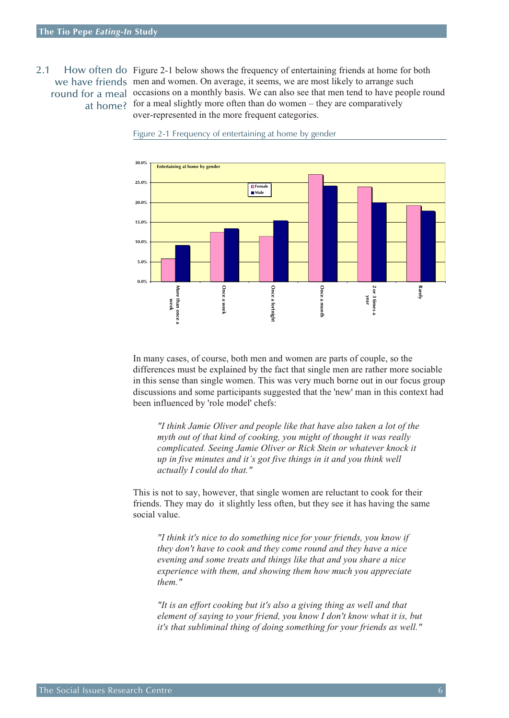### <span id="page-5-0"></span>2.1 How often do Figure 2-1 below shows the frequency of entertaining friends at home for both we have friends men and women. On average, it seems, we are most likely to arrange such round for a meal occasions on a monthly basis. We can also see that men tend to have people round at home? for a meal slightly more often than do women – they are comparatively over-represented in the more frequent categories.



Figure 2-1 Frequency of entertaining at home by gender

In many cases, of course, both men and women are parts of couple, so the differences must be explained by the fact that single men are rather more sociable in this sense than single women. This was very much borne out in our focus group discussions and some participants suggested that the 'new' man in this context had been influenced by 'role model' chefs:

*"I think Jamie Oliver and people like that have also taken a lot of the myth out of that kind of cooking, you might of thought it was really complicated. Seeing Jamie Oliver or Rick Stein or whatever knock it up in five minutes and it's got five things in it and you think well actually I could do that."*

This is not to say, however, that single women are reluctant to cook for their friends. They may do it slightly less often, but they see it has having the same social value.

*"I think it's nice to do something nice for your friends, you know if they don't have to cook and they come round and they have a nice evening and some treats and things like that and you share a nice experience with them, and showing them how much you appreciate them."*

*"It is an effort cooking but it's also a giving thing as well and that element of saying to your friend, you know I don't know what it is, but it's that subliminal thing of doing something for your friends as well."*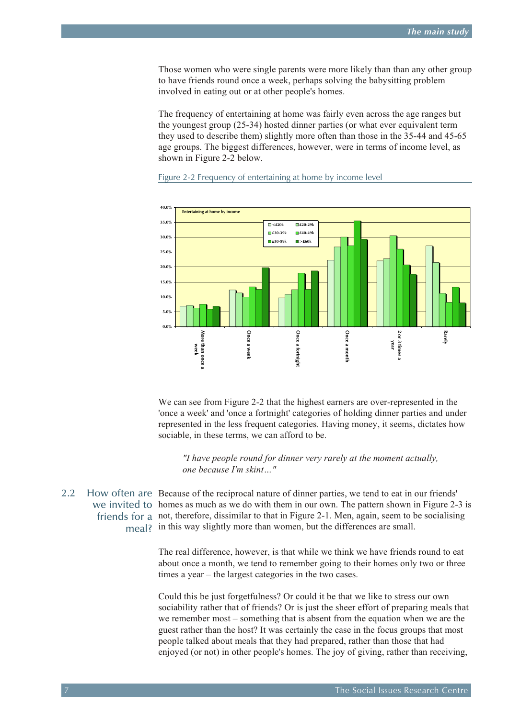<span id="page-6-0"></span>Those women who were single parents were more likely than than any other group to have friends round once a week, perhaps solving the babysitting problem involved in eating out or at other people's homes.

The frequency of entertaining at home was fairly even across the age ranges but the youngest group (25-34) hosted dinner parties (or what ever equivalent term they used to describe them) slightly more often than those in the 35-44 and 45-65 age groups. The biggest differences, however, were in terms of income level, as shown in Figure 2-2 below.



### Figure 2-2 Frequency of entertaining at home by income level

We can see from Figure 2-2 that the highest earners are over-represented in the 'once a week' and 'once a fortnight' categories of holding dinner parties and under represented in the less frequent categories. Having money, it seems, dictates how sociable, in these terms, we can afford to be.

*"I have people round for dinner very rarely at the moment actually, one because I'm skint…"*

2.2 How often are Because of the reciprocal nature of dinner parties, we tend to eat in our friends' we invited to homes as much as we do with them in our own. The pattern shown in Figure 2-3 is friends for a not, therefore, dissimilar to that in Figure 2-1. Men, again, seem to be socialising meal? in this way slightly more than women, but the differences are small.

> The real difference, however, is that while we think we have friends round to eat about once a month, we tend to remember going to their homes only two or three times a year – the largest categories in the two cases.

Could this be just forgetfulness? Or could it be that we like to stress our own sociability rather that of friends? Or is just the sheer effort of preparing meals that we remember most – something that is absent from the equation when we are the guest rather than the host? It was certainly the case in the focus groups that most people talked about meals that they had prepared, rather than those that had enjoyed (or not) in other people's homes. The joy of giving, rather than receiving,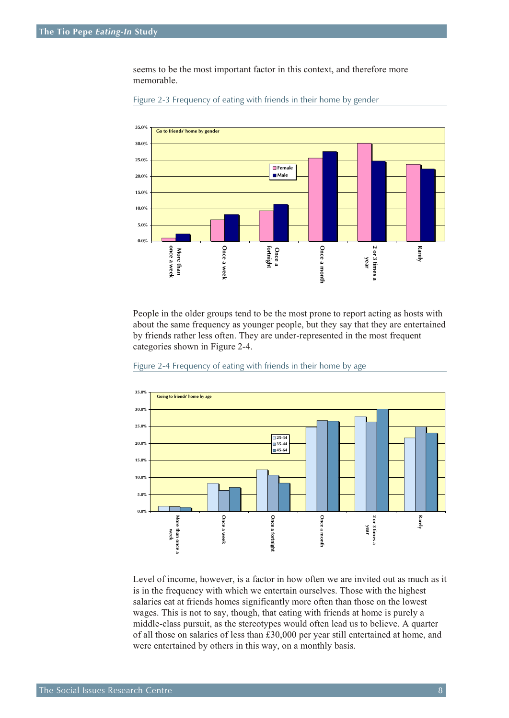seems to be the most important factor in this context, and therefore more memorable.



Figure 2-3 Frequency of eating with friends in their home by gender

People in the older groups tend to be the most prone to report acting as hosts with about the same frequency as younger people, but they say that they are entertained by friends rather less often. They are under-represented in the most frequent categories shown in Figure 2-4.





Level of income, however, is a factor in how often we are invited out as much as it is in the frequency with which we entertain ourselves. Those with the highest salaries eat at friends homes significantly more often than those on the lowest wages. This is not to say, though, that eating with friends at home is purely a middle-class pursuit, as the stereotypes would often lead us to believe. A quarter of all those on salaries of less than £30,000 per year still entertained at home, and were entertained by others in this way, on a monthly basis.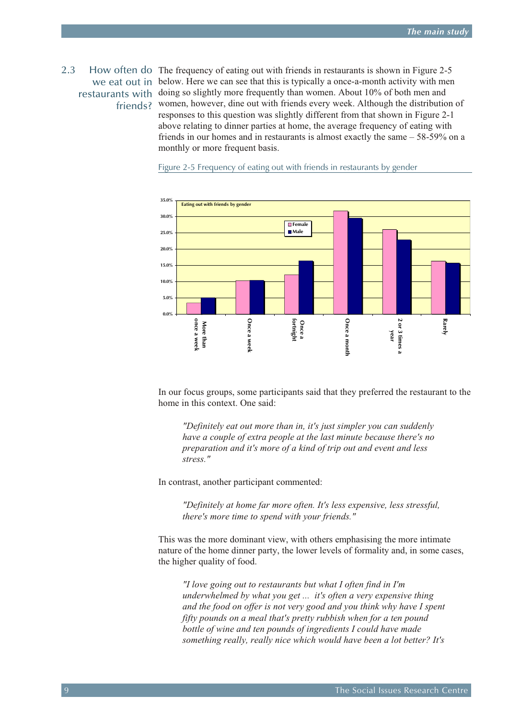<span id="page-8-0"></span>2.3 How often do The frequency of eating out with friends in restaurants is shown in Figure 2-5 we eat out in below. Here we can see that this is typically a once-a-month activity with men restaurants with doing so slightly more frequently than women. About 10% of both men and friends? women, however, dine out with friends every week. Although the distribution of responses to this question was slightly different from that shown in Figure 2-1 above relating to dinner parties at home, the average frequency of eating with friends in our homes and in restaurants is almost exactly the same – 58-59% on a monthly or more frequent basis.



Figure 2-5 Frequency of eating out with friends in restaurants by gender

In our focus groups, some participants said that they preferred the restaurant to the home in this context. One said:

*"Definitely eat out more than in, it's just simpler you can suddenly have a couple of extra people at the last minute because there's no preparation and it's more of a kind of trip out and event and less stress."*

In contrast, another participant commented:

*"Definitely at home far more often. It's less expensive, less stressful, there's more time to spend with your friends."*

This was the more dominant view, with others emphasising the more intimate nature of the home dinner party, the lower levels of formality and, in some cases, the higher quality of food.

*"I love going out to restaurants but what I often find in I'm underwhelmed by what you get ... it's often a very expensive thing and the food on offer is not very good and you think why have I spent fifty pounds on a meal that's pretty rubbish when for a ten pound bottle of wine and ten pounds of ingredients I could have made something really, really nice which would have been a lot better? It's*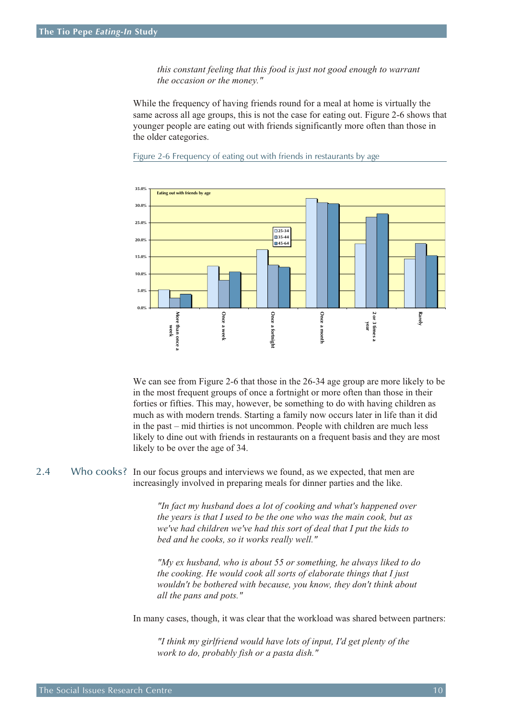*this constant feeling that this food is just not good enough to warrant the occasion or the money."*

<span id="page-9-0"></span>While the frequency of having friends round for a meal at home is virtually the same across all age groups, this is not the case for eating out. Figure 2-6 shows that younger people are eating out with friends significantly more often than those in the older categories.



Figure 2-6 Frequency of eating out with friends in restaurants by age

We can see from Figure 2-6 that those in the 26-34 age group are more likely to be in the most frequent groups of once a fortnight or more often than those in their forties or fifties. This may, however, be something to do with having children as much as with modern trends. Starting a family now occurs later in life than it did in the past – mid thirties is not uncommon. People with children are much less likely to dine out with friends in restaurants on a frequent basis and they are most likely to be over the age of 34.

2.4 Who cooks? In our focus groups and interviews we found, as we expected, that men are increasingly involved in preparing meals for dinner parties and the like.

> *"In fact my husband does a lot of cooking and what's happened over the years is that I used to be the one who was the main cook, but as we've had children we've had this sort of deal that I put the kids to bed and he cooks, so it works really well."*

*"My ex husband, who is about 55 or something, he always liked to do the cooking. He would cook all sorts of elaborate things that I just wouldn't be bothered with because, you know, they don't think about all the pans and pots."*

In many cases, though, it was clear that the workload was shared between partners:

*"I think my girlfriend would have lots of input, I'd get plenty of the work to do, probably fish or a pasta dish."*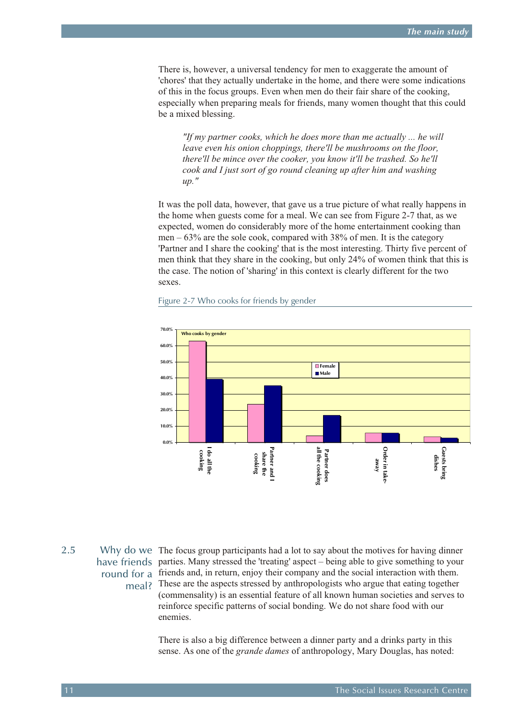<span id="page-10-0"></span>There is, however, a universal tendency for men to exaggerate the amount of 'chores' that they actually undertake in the home, and there were some indications of this in the focus groups. Even when men do their fair share of the cooking, especially when preparing meals for friends, many women thought that this could be a mixed blessing.

*"If my partner cooks, which he does more than me actually ... he will leave even his onion choppings, there'll be mushrooms on the floor, there'll be mince over the cooker, you know it'll be trashed. So he'll cook and I just sort of go round cleaning up after him and washing up."*

It was the poll data, however, that gave us a true picture of what really happens in the home when guests come for a meal. We can see from Figure 2-7 that, as we expected, women do considerably more of the home entertainment cooking than men – 63% are the sole cook, compared with 38% of men. It is the category 'Partner and I share the cooking' that is the most interesting. Thirty five percent of men think that they share in the cooking, but only 24% of women think that this is the case. The notion of 'sharing' in this context is clearly different for the two sexes.



### Figure 2-7 Who cooks for friends by gender

2.5 Why do we The focus group participants had a lot to say about the motives for having dinner have friends parties. Many stressed the 'treating' aspect – being able to give something to your round for a friends and, in return, enjoy their company and the social interaction with them. meal? These are the aspects stressed by anthropologists who argue that eating together (commensality) is an essential feature of all known human societies and serves to reinforce specific patterns of social bonding. We do not share food with our enemies.

> There is also a big difference between a dinner party and a drinks party in this sense. As one of the *grande dames* of anthropology, Mary Douglas, has noted: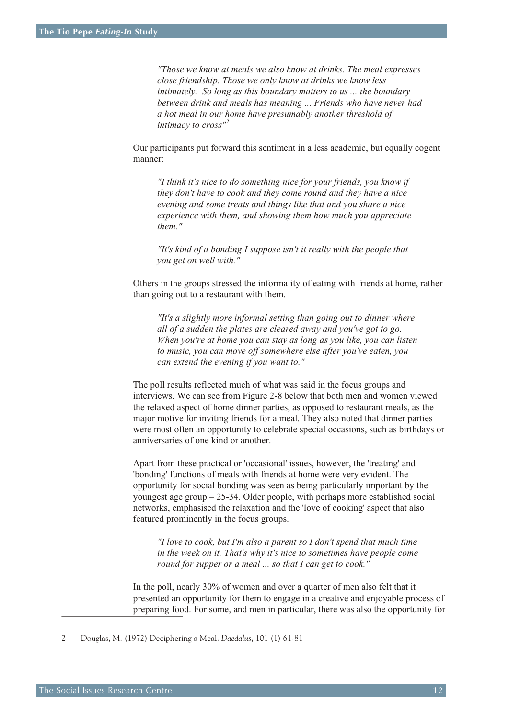*"Those we know at meals we also know at drinks. The meal expresses close friendship. Those we only know at drinks we know less intimately. So long as this boundary matters to us ... the boundary between drink and meals has meaning ... Friends who have never had a hot meal in our home have presumably another threshold of intimacy to cross"<sup>2</sup>*

Our participants put forward this sentiment in a less academic, but equally cogent manner:

*"I think it's nice to do something nice for your friends, you know if they don't have to cook and they come round and they have a nice evening and some treats and things like that and you share a nice experience with them, and showing them how much you appreciate them."*

*"It's kind of a bonding I suppose isn't it really with the people that you get on well with."*

Others in the groups stressed the informality of eating with friends at home, rather than going out to a restaurant with them.

*"It's a slightly more informal setting than going out to dinner where all of a sudden the plates are cleared away and you've got to go. When you're at home you can stay as long as you like, you can listen to music, you can move off somewhere else after you've eaten, you can extend the evening if you want to."*

The poll results reflected much of what was said in the focus groups and interviews. We can see from Figure 2-8 below that both men and women viewed the relaxed aspect of home dinner parties, as opposed to restaurant meals, as the major motive for inviting friends for a meal. They also noted that dinner parties were most often an opportunity to celebrate special occasions, such as birthdays or anniversaries of one kind or another.

Apart from these practical or 'occasional' issues, however, the 'treating' and 'bonding' functions of meals with friends at home were very evident. The opportunity for social bonding was seen as being particularly important by the youngest age group – 25-34. Older people, with perhaps more established social networks, emphasised the relaxation and the 'love of cooking' aspect that also featured prominently in the focus groups.

*"I love to cook, but I'm also a parent so I don't spend that much time in the week on it. That's why it's nice to sometimes have people come round for supper or a meal ... so that I can get to cook."*

In the poll, nearly 30% of women and over a quarter of men also felt that it presented an opportunity for them to engage in a creative and enjoyable process of preparing food. For some, and men in particular, there was also the opportunity for

<sup>2</sup> Douglas, M. (1972) Deciphering a Meal. *Daedalus*, 101 (1) 61-81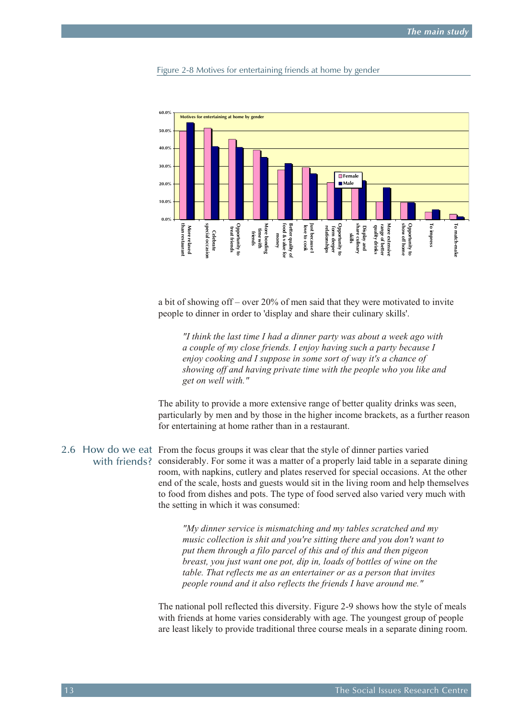<span id="page-12-0"></span>



a bit of showing off – over 20% of men said that they were motivated to invite people to dinner in order to 'display and share their culinary skills'.

*"I think the last time I had a dinner party was about a week ago with a couple of my close friends. I enjoy having such a party because I enjoy cooking and I suppose in some sort of way it's a chance of showing off and having private time with the people who you like and get on well with."*

The ability to provide a more extensive range of better quality drinks was seen, particularly by men and by those in the higher income brackets, as a further reason for entertaining at home rather than in a restaurant.

2.6 How do we eat From the focus groups it was clear that the style of dinner parties varied with friends? considerably. For some it was a matter of a properly laid table in a separate dining room, with napkins, cutlery and plates reserved for special occasions. At the other end of the scale, hosts and guests would sit in the living room and help themselves to food from dishes and pots. The type of food served also varied very much with the setting in which it was consumed:

> *"My dinner service is mismatching and my tables scratched and my music collection is shit and you're sitting there and you don't want to put them through a filo parcel of this and of this and then pigeon breast, you just want one pot, dip in, loads of bottles of wine on the table. That reflects me as an entertainer or as a person that invites people round and it also reflects the friends I have around me."*

The national poll reflected this diversity. Figure 2-9 shows how the style of meals with friends at home varies considerably with age. The youngest group of people are least likely to provide traditional three course meals in a separate dining room.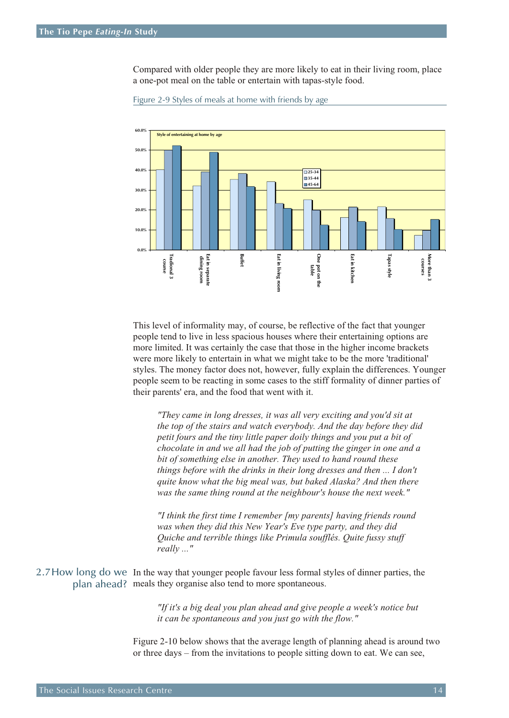<span id="page-13-0"></span>Compared with older people they are more likely to eat in their living room, place a one-pot meal on the table or entertain with tapas-style food.



Figure 2-9 Styles of meals at home with friends by age

This level of informality may, of course, be reflective of the fact that younger people tend to live in less spacious houses where their entertaining options are more limited. It was certainly the case that those in the higher income brackets were more likely to entertain in what we might take to be the more 'traditional' styles. The money factor does not, however, fully explain the differences. Younger people seem to be reacting in some cases to the stiff formality of dinner parties of their parents' era, and the food that went with it.

*"They came in long dresses, it was all very exciting and you'd sit at the top of the stairs and watch everybody. And the day before they did petit fours and the tiny little paper doily things and you put a bit of chocolate in and we all had the job of putting the ginger in one and a bit of something else in another. They used to hand round these things before with the drinks in their long dresses and then ... I don't quite know what the big meal was, but baked Alaska? And then there was the same thing round at the neighbour's house the next week."*

*"I think the first time I remember [my parents] having friends round was when they did this New Year's Eve type party, and they did Quiche and terrible things like Primula soufflés. Quite fussy stuff really ..."*

2.7How long do we In the way that younger people favour less formal styles of dinner parties, the plan ahead? meals they organise also tend to more spontaneous.

> *"If it's a big deal you plan ahead and give people a week's notice but it can be spontaneous and you just go with the flow."*

Figure 2-10 below shows that the average length of planning ahead is around two or three days – from the invitations to people sitting down to eat. We can see,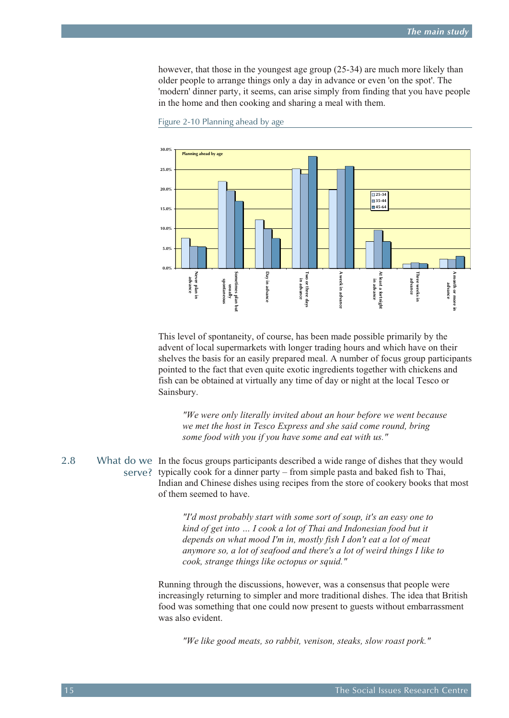<span id="page-14-0"></span>however, that those in the youngest age group (25-34) are much more likely than older people to arrange things only a day in advance or even 'on the spot'. The 'modern' dinner party, it seems, can arise simply from finding that you have people in the home and then cooking and sharing a meal with them.



Figure 2-10 Planning ahead by age

This level of spontaneity, of course, has been made possible primarily by the advent of local supermarkets with longer trading hours and which have on their shelves the basis for an easily prepared meal. A number of focus group participants pointed to the fact that even quite exotic ingredients together with chickens and fish can be obtained at virtually any time of day or night at the local Tesco or Sainsbury.

*"We were only literally invited about an hour before we went because we met the host in Tesco Express and she said come round, bring some food with you if you have some and eat with us."* 

2.8 What do we In the focus groups participants described a wide range of dishes that they would serve? typically cook for a dinner party – from simple pasta and baked fish to Thai, Indian and Chinese dishes using recipes from the store of cookery books that most of them seemed to have.

> *"I'd most probably start with some sort of soup, it's an easy one to kind of get into … I cook a lot of Thai and Indonesian food but it depends on what mood I'm in, mostly fish I don't eat a lot of meat anymore so, a lot of seafood and there's a lot of weird things I like to cook, strange things like octopus or squid."*

Running through the discussions, however, was a consensus that people were increasingly returning to simpler and more traditional dishes. The idea that British food was something that one could now present to guests without embarrassment was also evident.

*"We like good meats, so rabbit, venison, steaks, slow roast pork."*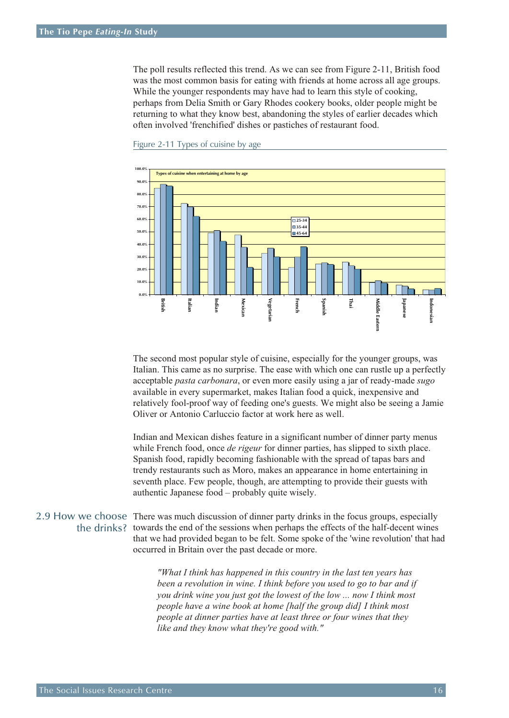<span id="page-15-0"></span>The poll results reflected this trend. As we can see from Figure 2-11, British food was the most common basis for eating with friends at home across all age groups. While the younger respondents may have had to learn this style of cooking, perhaps from Delia Smith or Gary Rhodes cookery books, older people might be returning to what they know best, abandoning the styles of earlier decades which often involved 'frenchified' dishes or pastiches of restaurant food.



Figure 2-11 Types of cuisine by age

The second most popular style of cuisine, especially for the younger groups, was Italian. This came as no surprise. The ease with which one can rustle up a perfectly acceptable *pasta carbonara*, or even more easily using a jar of ready-made *sugo* available in every supermarket, makes Italian food a quick, inexpensive and relatively fool-proof way of feeding one's guests. We might also be seeing a Jamie Oliver or Antonio Carluccio factor at work here as well.

Indian and Mexican dishes feature in a significant number of dinner party menus while French food, once *de rigeur* for dinner parties, has slipped to sixth place. Spanish food, rapidly becoming fashionable with the spread of tapas bars and trendy restaurants such as Moro, makes an appearance in home entertaining in seventh place. Few people, though, are attempting to provide their guests with authentic Japanese food – probably quite wisely.

2.9 How we choose There was much discussion of dinner party drinks in the focus groups, especially the drinks? towards the end of the sessions when perhaps the effects of the half-decent wines that we had provided began to be felt. Some spoke of the 'wine revolution' that had occurred in Britain over the past decade or more.

> *"What I think has happened in this country in the last ten years has been a revolution in wine. I think before you used to go to bar and if you drink wine you just got the lowest of the low ... now I think most people have a wine book at home [half the group did] I think most people at dinner parties have at least three or four wines that they like and they know what they're good with."*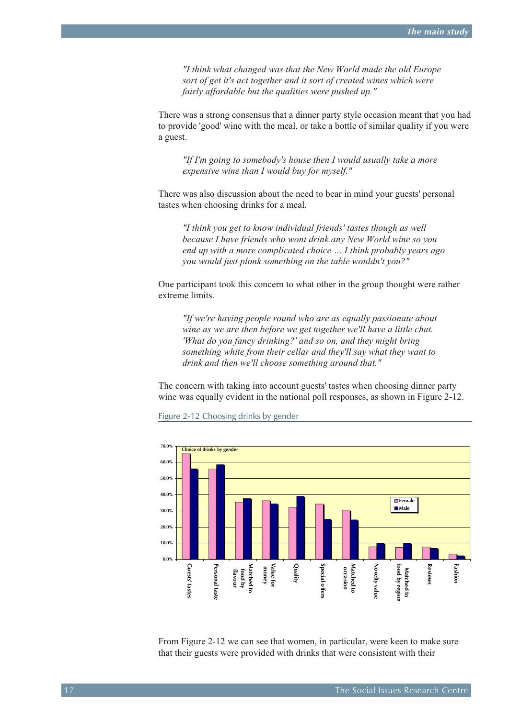*"I think what changed was that the New World made the old Europe sort of get it's act together and it sort of created wines which were fairly affordable but the qualities were pushed up."*

There was a strong consensus that a dinner party style occasion meant that you had to provide 'good' wine with the meal, or take a bottle of similar quality if you were a guest.

*"If I'm going to somebody's house then I would usually take a more expensive wine than I would buy for myself."*

There was also discussion about the need to bear in mind your guests' personal tastes when choosing drinks for a meal.

*"I think you get to know individual friends' tastes though as well because I have friends who wont drink any New World wine so you end up with a more complicated choice … I think probably years ago you would just plonk something on the table wouldn't you?"*

One participant took this concern to what other in the group thought were rather extreme limits.

*"If we're having people round who are as equally passionate about wine as we are then before we get together we'll have a little chat. 'What do you fancy drinking?' and so on, and they might bring something white from their cellar and they'll say what they want to drink and then we'll choose something around that."*

The concern with taking into account guests' tastes when choosing dinner party wine was equally evident in the national poll responses, as shown in Figure 2-12.

Figure 2-12 Choosing drinks by gender



From Figure 2-12 we can see that women, in particular, were keen to make sure that their guests were provided with drinks that were consistent with their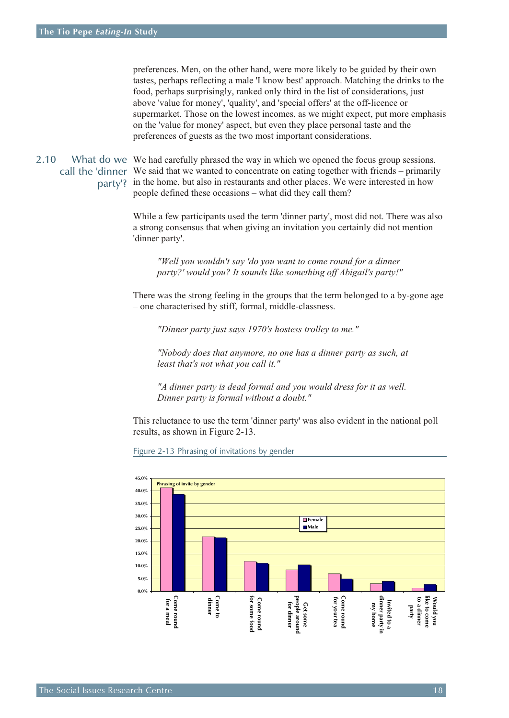<span id="page-17-0"></span>preferences. Men, on the other hand, were more likely to be guided by their own tastes, perhaps reflecting a male 'I know best' approach. Matching the drinks to the food, perhaps surprisingly, ranked only third in the list of considerations, just above 'value for money', 'quality', and 'special offers' at the off-licence or supermarket. Those on the lowest incomes, as we might expect, put more emphasis on the 'value for money' aspect, but even they place personal taste and the preferences of guests as the two most important considerations.

2.10 What do we We had carefully phrased the way in which we opened the focus group sessions. call the 'dinner We said that we wanted to concentrate on eating together with friends – primarily party'? in the home, but also in restaurants and other places. We were interested in how people defined these occasions – what did they call them?

> While a few participants used the term 'dinner party', most did not. There was also a strong consensus that when giving an invitation you certainly did not mention 'dinner party'.

*"Well you wouldn't say 'do you want to come round for a dinner party?' would you? It sounds like something off Abigail's party!"*

There was the strong feeling in the groups that the term belonged to a by-gone age – one characterised by stiff, formal, middle-classness.

*"Dinner party just says 1970's hostess trolley to me."*

*"Nobody does that anymore, no one has a dinner party as such, at least that's not what you call it."*

*"A dinner party is dead formal and you would dress for it as well. Dinner party is formal without a doubt."*

This reluctance to use the term 'dinner party' was also evident in the national poll results, as shown in Figure 2-13.

Figure 2-13 Phrasing of invitations by gender

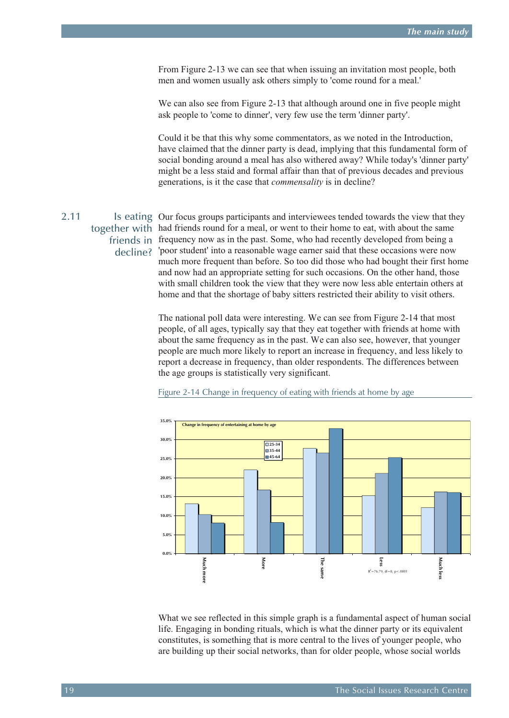<span id="page-18-0"></span>From Figure 2-13 we can see that when issuing an invitation most people, both men and women usually ask others simply to 'come round for a meal.'

We can also see from Figure 2-13 that although around one in five people might ask people to 'come to dinner', very few use the term 'dinner party'.

Could it be that this why some commentators, as we noted in the Introduction, have claimed that the dinner party is dead, implying that this fundamental form of social bonding around a meal has also withered away? While today's 'dinner party' might be a less staid and formal affair than that of previous decades and previous generations, is it the case that *commensality* is in decline?

2.11 Is eating Our focus groups participants and interviewees tended towards the view that they together with had friends round for a meal, or went to their home to eat, with about the same friends in frequency now as in the past. Some, who had recently developed from being a decline? 'poor student' into a reasonable wage earner said that these occasions were now much more frequent than before. So too did those who had bought their first home and now had an appropriate setting for such occasions. On the other hand, those with small children took the view that they were now less able entertain others at home and that the shortage of baby sitters restricted their ability to visit others.

> The national poll data were interesting. We can see from Figure 2-14 that most people, of all ages, typically say that they eat together with friends at home with about the same frequency as in the past. We can also see, however, that younger people are much more likely to report an increase in frequency, and less likely to report a decrease in frequency, than older respondents. The differences between the age groups is statistically very significant.



Figure 2-14 Change in frequency of eating with friends at home by age

What we see reflected in this simple graph is a fundamental aspect of human social life. Engaging in bonding rituals, which is what the dinner party or its equivalent constitutes, is something that is more central to the lives of younger people, who are building up their social networks, than for older people, whose social worlds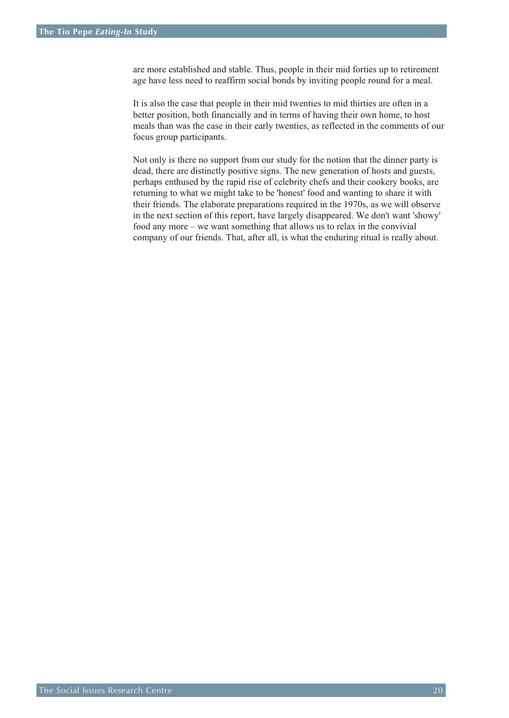are more established and stable. Thus, people in their mid forties up to retirement age have less need to reaffirm social bonds by inviting people round for a meal.

It is also the case that people in their mid twenties to mid thirties are often in a better position, both financially and in terms of having their own home, to host meals than was the case in their early twenties, as reflected in the comments of our focus group participants.

Not only is there no support from our study for the notion that the dinner party is dead, there are distinctly positive signs. The new generation of hosts and guests, perhaps enthused by the rapid rise of celebrity chefs and their cookery books, are returning to what we might take to be 'honest' food and wanting to share it with their friends. The elaborate preparations required in the 1970s, as we will observe in the next section of this report, have largely disappeared. We don't want 'showy' food any more – we want something that allows us to relax in the convivial company of our friends. That, after all, is what the enduring ritual is really about.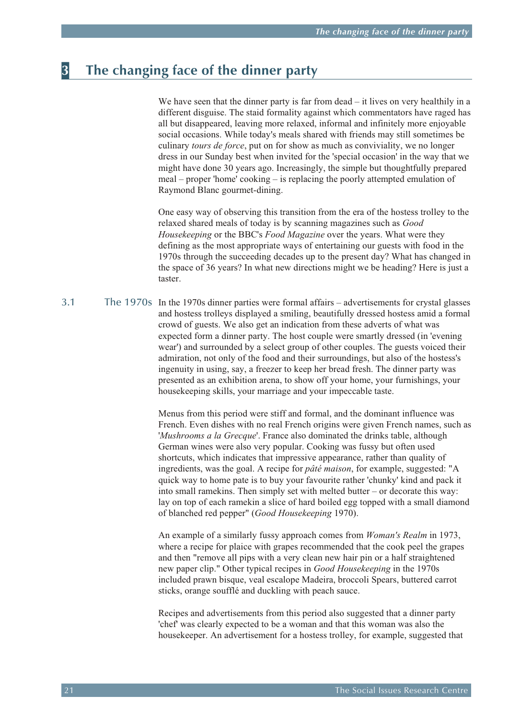## <span id="page-20-0"></span>**3 The changing face of the dinner party**

We have seen that the dinner party is far from dead – it lives on very healthily in a different disguise. The staid formality against which commentators have raged has all but disappeared, leaving more relaxed, informal and infinitely more enjoyable social occasions. While today's meals shared with friends may still sometimes be culinary *tours de force*, put on for show as much as conviviality, we no longer dress in our Sunday best when invited for the 'special occasion' in the way that we might have done 30 years ago. Increasingly, the simple but thoughtfully prepared meal – proper 'home' cooking – is replacing the poorly attempted emulation of Raymond Blanc gourmet-dining.

One easy way of observing this transition from the era of the hostess trolley to the relaxed shared meals of today is by scanning magazines such as *Good Housekeeping* or the BBC's *Food Magazine* over the years. What were they defining as the most appropriate ways of entertaining our guests with food in the 1970s through the succeeding decades up to the present day? What has changed in the space of 36 years? In what new directions might we be heading? Here is just a taster.

3.1 The 1970s In the 1970s dinner parties were formal affairs – advertisements for crystal glasses and hostess trolleys displayed a smiling, beautifully dressed hostess amid a formal crowd of guests. We also get an indication from these adverts of what was expected form a dinner party. The host couple were smartly dressed (in 'evening wear') and surrounded by a select group of other couples. The guests voiced their admiration, not only of the food and their surroundings, but also of the hostess's ingenuity in using, say, a freezer to keep her bread fresh. The dinner party was presented as an exhibition arena, to show off your home, your furnishings, your housekeeping skills, your marriage and your impeccable taste.

> Menus from this period were stiff and formal, and the dominant influence was French. Even dishes with no real French origins were given French names, such as '*Mushrooms a la Grecque*'. France also dominated the drinks table, although German wines were also very popular. Cooking was fussy but often used shortcuts, which indicates that impressive appearance, rather than quality of ingredients, was the goal. A recipe for *pâté maison*, for example, suggested: "A quick way to home pate is to buy your favourite rather 'chunky' kind and pack it into small ramekins. Then simply set with melted butter – or decorate this way: lay on top of each ramekin a slice of hard boiled egg topped with a small diamond of blanched red pepper" (*Good Housekeeping* 1970).

An example of a similarly fussy approach comes from *Woman's Realm* in 1973, where a recipe for plaice with grapes recommended that the cook peel the grapes and then "remove all pips with a very clean new hair pin or a half straightened new paper clip." Other typical recipes in *Good Housekeeping* in the 1970s included prawn bisque, veal escalope Madeira, broccoli Spears, buttered carrot sticks, orange soufflé and duckling with peach sauce.

Recipes and advertisements from this period also suggested that a dinner party 'chef' was clearly expected to be a woman and that this woman was also the housekeeper. An advertisement for a hostess trolley, for example, suggested that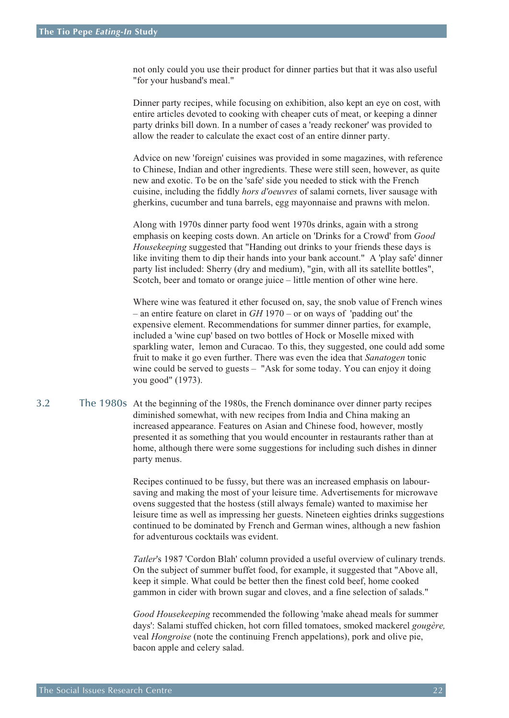<span id="page-21-0"></span>not only could you use their product for dinner parties but that it was also useful "for your husband's meal."

Dinner party recipes, while focusing on exhibition, also kept an eye on cost, with entire articles devoted to cooking with cheaper cuts of meat, or keeping a dinner party drinks bill down. In a number of cases a 'ready reckoner' was provided to allow the reader to calculate the exact cost of an entire dinner party.

Advice on new 'foreign' cuisines was provided in some magazines, with reference to Chinese, Indian and other ingredients. These were still seen, however, as quite new and exotic. To be on the 'safe' side you needed to stick with the French cuisine, including the fiddly *hors d'oeuvres* of salami cornets, liver sausage with gherkins, cucumber and tuna barrels, egg mayonnaise and prawns with melon.

Along with 1970s dinner party food went 1970s drinks, again with a strong emphasis on keeping costs down. An article on 'Drinks for a Crowd' from *Good Housekeeping* suggested that "Handing out drinks to your friends these days is like inviting them to dip their hands into your bank account." A 'play safe' dinner party list included: Sherry (dry and medium), "gin, with all its satellite bottles", Scotch, beer and tomato or orange juice – little mention of other wine here.

Where wine was featured it ether focused on, say, the snob value of French wines – an entire feature on claret in *GH* 1970 – or on ways of 'padding out' the expensive element. Recommendations for summer dinner parties, for example, included a 'wine cup' based on two bottles of Hock or Moselle mixed with sparkling water, lemon and Curacao. To this, they suggested, one could add some fruit to make it go even further. There was even the idea that *Sanatogen* tonic wine could be served to guests – "Ask for some today. You can enjoy it doing you good" (1973).

3.2 The 1980s At the beginning of the 1980s, the French dominance over dinner party recipes diminished somewhat, with new recipes from India and China making an increased appearance. Features on Asian and Chinese food, however, mostly presented it as something that you would encounter in restaurants rather than at home, although there were some suggestions for including such dishes in dinner party menus.

> Recipes continued to be fussy, but there was an increased emphasis on laboursaving and making the most of your leisure time. Advertisements for microwave ovens suggested that the hostess (still always female) wanted to maximise her leisure time as well as impressing her guests. Nineteen eighties drinks suggestions continued to be dominated by French and German wines, although a new fashion for adventurous cocktails was evident.

> *Tatler*'s 1987 'Cordon Blah' column provided a useful overview of culinary trends. On the subject of summer buffet food, for example, it suggested that "Above all, keep it simple. What could be better then the finest cold beef, home cooked gammon in cider with brown sugar and cloves, and a fine selection of salads."

> *Good Housekeeping* recommended the following 'make ahead meals for summer days': Salami stuffed chicken, hot corn filled tomatoes, smoked mackerel *gougère,* veal *Hongroise* (note the continuing French appelations), pork and olive pie, bacon apple and celery salad.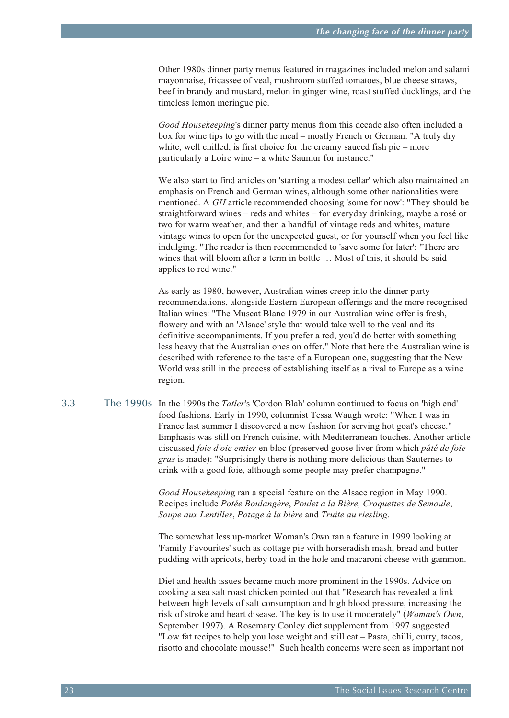<span id="page-22-0"></span>Other 1980s dinner party menus featured in magazines included melon and salami mayonnaise, fricassee of veal, mushroom stuffed tomatoes, blue cheese straws, beef in brandy and mustard, melon in ginger wine, roast stuffed ducklings, and the timeless lemon meringue pie.

*Good Housekeeping*'s dinner party menus from this decade also often included a box for wine tips to go with the meal – mostly French or German. "A truly dry white, well chilled, is first choice for the creamy sauced fish pie – more particularly a Loire wine – a white Saumur for instance."

We also start to find articles on 'starting a modest cellar' which also maintained an emphasis on French and German wines, although some other nationalities were mentioned. A *GH* article recommended choosing 'some for now': "They should be straightforward wines – reds and whites – for everyday drinking, maybe a rosé or two for warm weather, and then a handful of vintage reds and whites, mature vintage wines to open for the unexpected guest, or for yourself when you feel like indulging. "The reader is then recommended to 'save some for later': "There are wines that will bloom after a term in bottle ... Most of this, it should be said applies to red wine."

As early as 1980, however, Australian wines creep into the dinner party recommendations, alongside Eastern European offerings and the more recognised Italian wines: "The Muscat Blanc 1979 in our Australian wine offer is fresh, flowery and with an 'Alsace' style that would take well to the veal and its definitive accompaniments. If you prefer a red, you'd do better with something less heavy that the Australian ones on offer." Note that here the Australian wine is described with reference to the taste of a European one, suggesting that the New World was still in the process of establishing itself as a rival to Europe as a wine region.

3.3 The 1990s In the 1990s the *Tatler*'s 'Cordon Blah' column continued to focus on 'high end' food fashions. Early in 1990, columnist Tessa Waugh wrote: "When I was in France last summer I discovered a new fashion for serving hot goat's cheese." Emphasis was still on French cuisine, with Mediterranean touches. Another article discussed *foie d'oie entier* en bloc (preserved goose liver from which *pâté de foie gras* is made): "Surprisingly there is nothing more delicious than Sauternes to drink with a good foie, although some people may prefer champagne."

> *Good Housekeepin*g ran a special feature on the Alsace region in May 1990. Recipes include *Potée Boulangère*, *Poulet a la Bière, Croquettes de Semoule*, *Soupe aux Lentilles*, *Potage à la bière* and *Truite au riesling*.

The somewhat less up-market Woman's Own ran a feature in 1999 looking at 'Family Favourites' such as cottage pie with horseradish mash, bread and butter pudding with apricots, herby toad in the hole and macaroni cheese with gammon.

Diet and health issues became much more prominent in the 1990s. Advice on cooking a sea salt roast chicken pointed out that "Research has revealed a link between high levels of salt consumption and high blood pressure, increasing the risk of stroke and heart disease. The key is to use it moderately" (*Woman's Own*, September 1997). A Rosemary Conley diet supplement from 1997 suggested "Low fat recipes to help you lose weight and still eat – Pasta, chilli, curry, tacos, risotto and chocolate mousse!" Such health concerns were seen as important not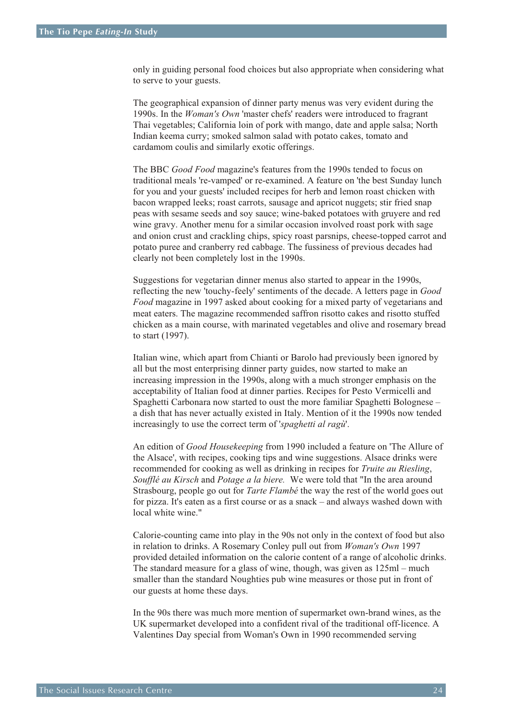only in guiding personal food choices but also appropriate when considering what to serve to your guests.

The geographical expansion of dinner party menus was very evident during the 1990s. In the *Woman's Own* 'master chefs' readers were introduced to fragrant Thai vegetables; California loin of pork with mango, date and apple salsa; North Indian keema curry; smoked salmon salad with potato cakes, tomato and cardamom coulis and similarly exotic offerings.

The BBC *Good Food* magazine's features from the 1990s tended to focus on traditional meals 're-vamped' or re-examined. A feature on 'the best Sunday lunch for you and your guests' included recipes for herb and lemon roast chicken with bacon wrapped leeks; roast carrots, sausage and apricot nuggets; stir fried snap peas with sesame seeds and soy sauce; wine-baked potatoes with gruyere and red wine gravy. Another menu for a similar occasion involved roast pork with sage and onion crust and crackling chips, spicy roast parsnips, cheese-topped carrot and potato puree and cranberry red cabbage. The fussiness of previous decades had clearly not been completely lost in the 1990s.

Suggestions for vegetarian dinner menus also started to appear in the 1990s, reflecting the new 'touchy-feely' sentiments of the decade. A letters page in *Good Food* magazine in 1997 asked about cooking for a mixed party of vegetarians and meat eaters. The magazine recommended saffron risotto cakes and risotto stuffed chicken as a main course, with marinated vegetables and olive and rosemary bread to start (1997).

Italian wine, which apart from Chianti or Barolo had previously been ignored by all but the most enterprising dinner party guides, now started to make an increasing impression in the 1990s, along with a much stronger emphasis on the acceptability of Italian food at dinner parties. Recipes for Pesto Vermicelli and Spaghetti Carbonara now started to oust the more familiar Spaghetti Bolognese – a dish that has never actually existed in Italy. Mention of it the 1990s now tended increasingly to use the correct term of '*spaghetti al ragù*'.

An edition of *Good Housekeeping* from 1990 included a feature on 'The Allure of the Alsace', with recipes, cooking tips and wine suggestions. Alsace drinks were recommended for cooking as well as drinking in recipes for *Truite au Riesling*, *Soufflé au Kirsch* and *Potage a la biere.* We were told that "In the area around Strasbourg, people go out for *Tarte Flambé* the way the rest of the world goes out for pizza. It's eaten as a first course or as a snack – and always washed down with local white wine."

Calorie-counting came into play in the 90s not only in the context of food but also in relation to drinks. A Rosemary Conley pull out from *Woman's Own* 1997 provided detailed information on the calorie content of a range of alcoholic drinks. The standard measure for a glass of wine, though, was given as 125ml – much smaller than the standard Noughties pub wine measures or those put in front of our guests at home these days.

In the 90s there was much more mention of supermarket own-brand wines, as the UK supermarket developed into a confident rival of the traditional off-licence. A Valentines Day special from Woman's Own in 1990 recommended serving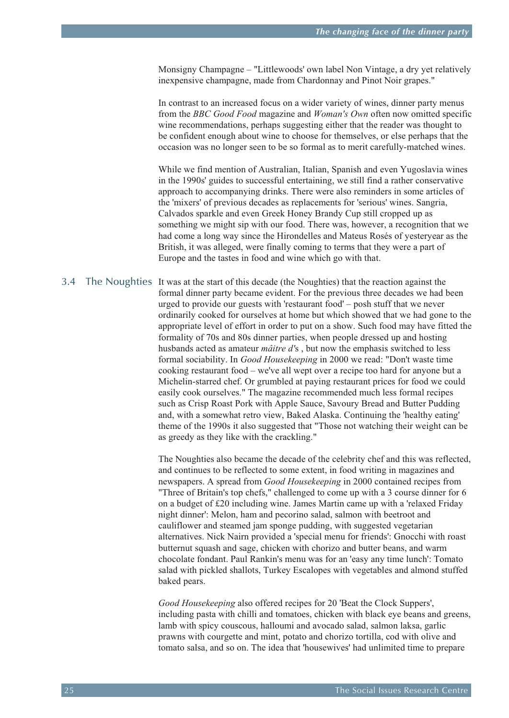<span id="page-24-0"></span>Monsigny Champagne – "Littlewoods' own label Non Vintage, a dry yet relatively inexpensive champagne, made from Chardonnay and Pinot Noir grapes."

In contrast to an increased focus on a wider variety of wines, dinner party menus from the *BBC Good Food* magazine and *Woman's Own* often now omitted specific wine recommendations, perhaps suggesting either that the reader was thought to be confident enough about wine to choose for themselves, or else perhaps that the occasion was no longer seen to be so formal as to merit carefully-matched wines.

While we find mention of Australian, Italian, Spanish and even Yugoslavia wines in the 1990s' guides to successful entertaining, we still find a rather conservative approach to accompanying drinks. There were also reminders in some articles of the 'mixers' of previous decades as replacements for 'serious' wines. Sangria, Calvados sparkle and even Greek Honey Brandy Cup still cropped up as something we might sip with our food. There was, however, a recognition that we had come a long way since the Hirondelles and Mateus Rosés of yesteryear as the British, it was alleged, were finally coming to terms that they were a part of Europe and the tastes in food and wine which go with that.

3.4 The Noughties It was at the start of this decade (the Noughties) that the reaction against the formal dinner party became evident. For the previous three decades we had been urged to provide our guests with 'restaurant food' – posh stuff that we never ordinarily cooked for ourselves at home but which showed that we had gone to the appropriate level of effort in order to put on a show. Such food may have fitted the formality of 70s and 80s dinner parties, when people dressed up and hosting husbands acted as amateur *mâitre d'*s , but now the emphasis switched to less formal sociability. In *Good Housekeeping* in 2000 we read: "Don't waste time cooking restaurant food – we've all wept over a recipe too hard for anyone but a Michelin-starred chef. Or grumbled at paying restaurant prices for food we could easily cook ourselves." The magazine recommended much less formal recipes such as Crisp Roast Pork with Apple Sauce, Savoury Bread and Butter Pudding and, with a somewhat retro view, Baked Alaska. Continuing the 'healthy eating' theme of the 1990s it also suggested that "Those not watching their weight can be as greedy as they like with the crackling."

> The Noughties also became the decade of the celebrity chef and this was reflected, and continues to be reflected to some extent, in food writing in magazines and newspapers. A spread from *Good Housekeeping* in 2000 contained recipes from "Three of Britain's top chefs," challenged to come up with a 3 course dinner for 6 on a budget of £20 including wine. James Martin came up with a 'relaxed Friday night dinner': Melon, ham and pecorino salad, salmon with beetroot and cauliflower and steamed jam sponge pudding, with suggested vegetarian alternatives. Nick Nairn provided a 'special menu for friends': Gnocchi with roast butternut squash and sage, chicken with chorizo and butter beans, and warm chocolate fondant. Paul Rankin's menu was for an 'easy any time lunch': Tomato salad with pickled shallots, Turkey Escalopes with vegetables and almond stuffed baked pears.

> *Good Housekeeping* also offered recipes for 20 'Beat the Clock Suppers', including pasta with chilli and tomatoes, chicken with black eye beans and greens, lamb with spicy couscous, halloumi and avocado salad, salmon laksa, garlic prawns with courgette and mint, potato and chorizo tortilla, cod with olive and tomato salsa, and so on. The idea that 'housewives' had unlimited time to prepare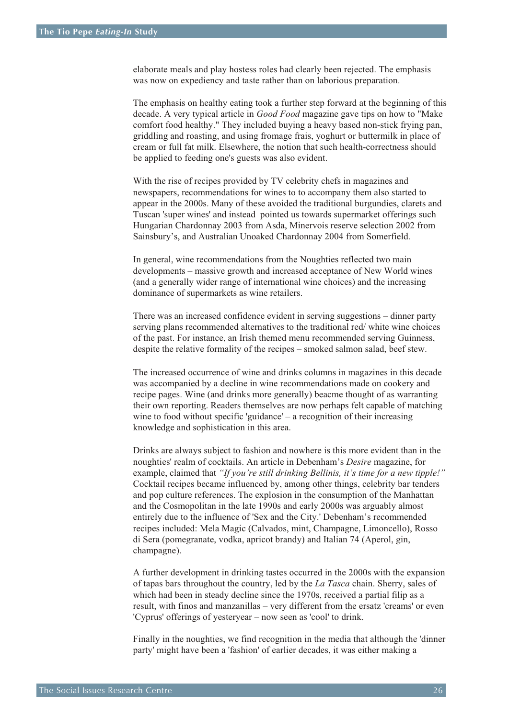elaborate meals and play hostess roles had clearly been rejected. The emphasis was now on expediency and taste rather than on laborious preparation.

The emphasis on healthy eating took a further step forward at the beginning of this decade. A very typical article in *Good Food* magazine gave tips on how to "Make comfort food healthy." They included buying a heavy based non-stick frying pan, griddling and roasting, and using fromage frais, yoghurt or buttermilk in place of cream or full fat milk. Elsewhere, the notion that such health-correctness should be applied to feeding one's guests was also evident.

With the rise of recipes provided by TV celebrity chefs in magazines and newspapers, recommendations for wines to to accompany them also started to appear in the 2000s. Many of these avoided the traditional burgundies, clarets and Tuscan 'super wines' and instead pointed us towards supermarket offerings such Hungarian Chardonnay 2003 from Asda, Minervois reserve selection 2002 from Sainsbury's, and Australian Unoaked Chardonnay 2004 from Somerfield.

In general, wine recommendations from the Noughties reflected two main developments – massive growth and increased acceptance of New World wines (and a generally wider range of international wine choices) and the increasing dominance of supermarkets as wine retailers.

There was an increased confidence evident in serving suggestions – dinner party serving plans recommended alternatives to the traditional red/ white wine choices of the past. For instance, an Irish themed menu recommended serving Guinness, despite the relative formality of the recipes – smoked salmon salad, beef stew.

The increased occurrence of wine and drinks columns in magazines in this decade was accompanied by a decline in wine recommendations made on cookery and recipe pages. Wine (and drinks more generally) beacme thought of as warranting their own reporting. Readers themselves are now perhaps felt capable of matching wine to food without specific 'guidance' – a recognition of their increasing knowledge and sophistication in this area.

Drinks are always subject to fashion and nowhere is this more evident than in the noughties' realm of cocktails. An article in Debenham's *Desire* magazine, for example, claimed that *"If you're still drinking Bellinis, it's time for a new tipple!"* Cocktail recipes became influenced by, among other things, celebrity bar tenders and pop culture references. The explosion in the consumption of the Manhattan and the Cosmopolitan in the late 1990s and early 2000s was arguably almost entirely due to the influence of 'Sex and the City.' Debenham's recommended recipes included: Mela Magic (Calvados, mint, Champagne, Limoncello), Rosso di Sera (pomegranate, vodka, apricot brandy) and Italian 74 (Aperol, gin, champagne).

A further development in drinking tastes occurred in the 2000s with the expansion of tapas bars throughout the country, led by the *La Tasca* chain. Sherry, sales of which had been in steady decline since the 1970s, received a partial filip as a result, with finos and manzanillas – very different from the ersatz 'creams' or even 'Cyprus' offerings of yesteryear – now seen as 'cool' to drink.

Finally in the noughties, we find recognition in the media that although the 'dinner party' might have been a 'fashion' of earlier decades, it was either making a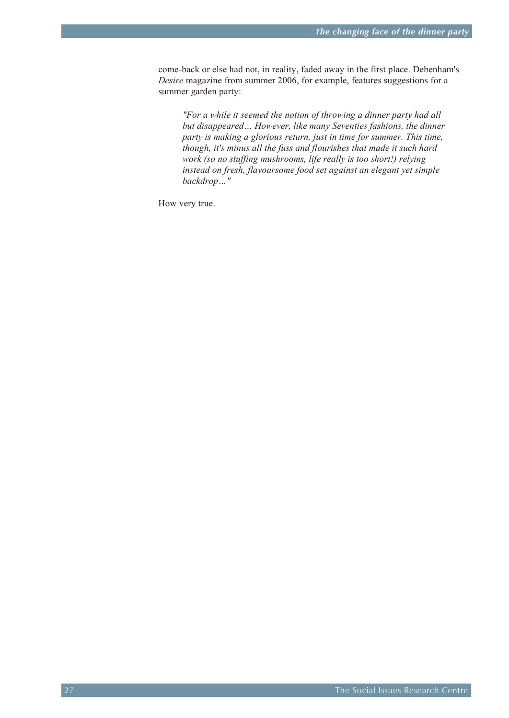come-back or else had not, in reality, faded away in the first place. Debenham's *Desire* magazine from summer 2006, for example, features suggestions for a summer garden party:

*"For a while it seemed the notion of throwing a dinner party had all but disappeared… However, like many Seventies fashions, the dinner party is making a glorious return, just in time for summer. This time, though, it's minus all the fuss and flourishes that made it such hard work (so no stuffing mushrooms, life really is too short!) relying instead on fresh, flavoursome food set against an elegant yet simple backdrop…"* 

How very true.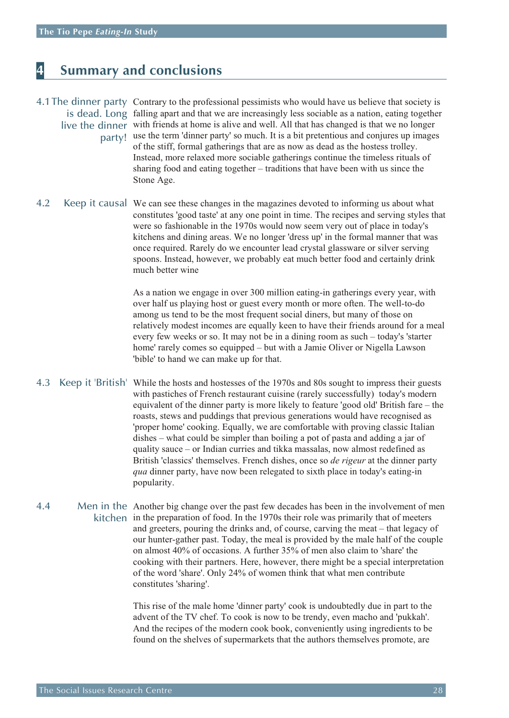## <span id="page-27-0"></span>**4 Summary and conclusions**

### 4.1The dinner party Contrary to the professional pessimists who would have us believe that society is is dead. Long falling apart and that we are increasingly less sociable as a nation, eating together live the dinner with friends at home is alive and well. All that has changed is that we no longer party! use the term 'dinner party' so much. It is a bit pretentious and conjures up images of the stiff, formal gatherings that are as now as dead as the hostess trolley. Instead, more relaxed more sociable gatherings continue the timeless rituals of sharing food and eating together – traditions that have been with us since the Stone Age.

4.2 Keep it causal We can see these changes in the magazines devoted to informing us about what constitutes 'good taste' at any one point in time. The recipes and serving styles that were so fashionable in the 1970s would now seem very out of place in today's kitchens and dining areas. We no longer 'dress up' in the formal manner that was once required. Rarely do we encounter lead crystal glassware or silver serving spoons. Instead, however, we probably eat much better food and certainly drink much better wine

> As a nation we engage in over 300 million eating-in gatherings every year, with over half us playing host or guest every month or more often. The well-to-do among us tend to be the most frequent social diners, but many of those on relatively modest incomes are equally keen to have their friends around for a meal every few weeks or so. It may not be in a dining room as such – today's 'starter home' rarely comes so equipped – but with a Jamie Oliver or Nigella Lawson 'bible' to hand we can make up for that.

- 4.3 Keep it 'British' While the hosts and hostesses of the 1970s and 80s sought to impress their guests with pastiches of French restaurant cuisine (rarely successfully) today's modern equivalent of the dinner party is more likely to feature 'good old' British fare – the roasts, stews and puddings that previous generations would have recognised as 'proper home' cooking. Equally, we are comfortable with proving classic Italian dishes – what could be simpler than boiling a pot of pasta and adding a jar of quality sauce – or Indian curries and tikka massalas, now almost redefined as British 'classics' themselves. French dishes, once so *de rigeur* at the dinner party *qua* dinner party, have now been relegated to sixth place in today's eating-in popularity.
- 4.4 Men in the Another big change over the past few decades has been in the involvement of men kitchen in the preparation of food. In the 1970s their role was primarily that of meeters and greeters, pouring the drinks and, of course, carving the meat – that legacy of our hunter-gather past. Today, the meal is provided by the male half of the couple on almost 40% of occasions. A further 35% of men also claim to 'share' the cooking with their partners. Here, however, there might be a special interpretation of the word 'share'. Only 24% of women think that what men contribute constitutes 'sharing'.

This rise of the male home 'dinner party' cook is undoubtedly due in part to the advent of the TV chef. To cook is now to be trendy, even macho and 'pukkah'. And the recipes of the modern cook book, conveniently using ingredients to be found on the shelves of supermarkets that the authors themselves promote, are